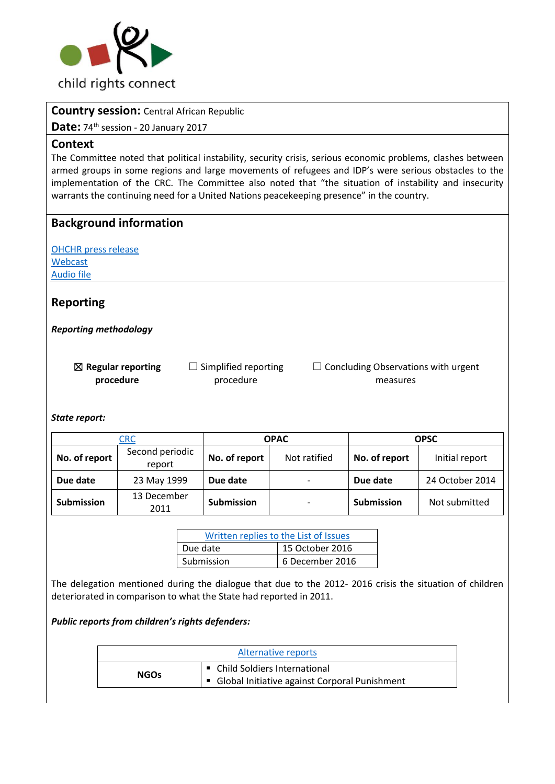

## **Country session:** Central African Republic

Date: 74<sup>th</sup> session - 20 January 2017

### **Context**

The Committee noted that political instability, security crisis, serious economic problems, clashes between armed groups in some regions and large movements of refugees and IDP's were serious obstacles to the implementation of the CRC. The Committee also noted that "the situation of instability and insecurity warrants the continuing need for a United Nations peacekeeping presence" in the country.

## **Background information**

[OHCHR press release](http://bit.ly/2lPMktB) [Webcast](http://bit.ly/2mp9RDc) [Audio file](http://bit.ly/2kPQLB6)

# **Reporting**

*Reporting methodology*

☒ **Regular reporting procedure**  $\Box$  Simplified reporting procedure

 $\Box$  Concluding Observations with urgent measures

*State report:* 

| <b>CRC</b>        |                           | <b>OPAC</b>       |                          | <b>OPSC</b>       |                 |
|-------------------|---------------------------|-------------------|--------------------------|-------------------|-----------------|
| No. of report     | Second periodic<br>report | No. of report     | Not ratified             | No. of report     | Initial report  |
| Due date          | 23 May 1999               | Due date          | $\overline{\phantom{a}}$ | Due date          | 24 October 2014 |
| <b>Submission</b> | 13 December<br>2011       | <b>Submission</b> | $\overline{\phantom{a}}$ | <b>Submission</b> | Not submitted   |

| Written replies to the List of Issues |                 |  |  |
|---------------------------------------|-----------------|--|--|
| Due date                              | 15 October 2016 |  |  |
| Submission                            | 6 December 2016 |  |  |

The delegation mentioned during the dialogue that due to the 2012- 2016 crisis the situation of children deteriorated in comparison to what the State had reported in 2011.

### *Public reports from children's rights defenders:*

| Alternative reports |                                                 |  |
|---------------------|-------------------------------------------------|--|
| <b>NGOs</b>         | • Child Soldiers International                  |  |
|                     | • Global Initiative against Corporal Punishment |  |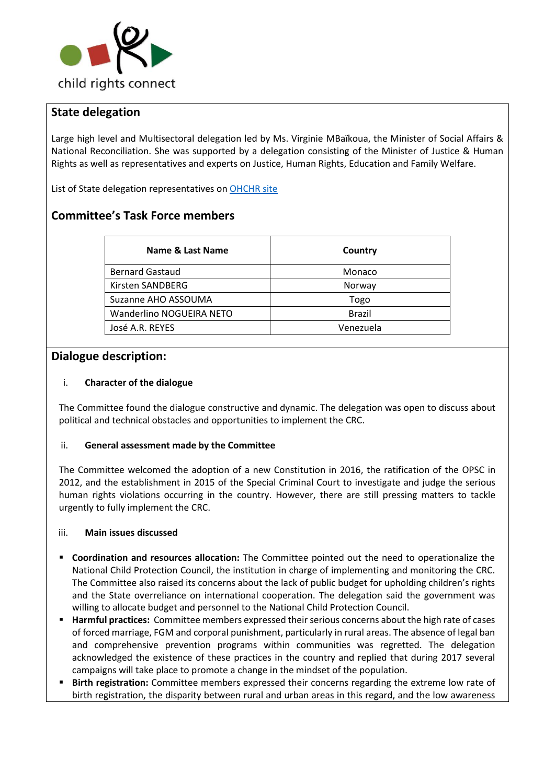

# **State delegation**

Large high level and Multisectoral delegation led by Ms. Virginie MBaïkoua, the Minister of Social Affairs & National Reconciliation. She was supported by a delegation consisting of the Minister of Justice & Human Rights as well as representatives and experts on Justice, Human Rights, Education and Family Welfare.

List of State delegation representatives on [OHCHR site](http://bit.ly/2mpk2b0) 

# **Committee's Task Force members**

| Name & Last Name         | Country       |
|--------------------------|---------------|
| <b>Bernard Gastaud</b>   | Monaco        |
| Kirsten SANDBERG         | Norway        |
| Suzanne AHO ASSOUMA      | Togo          |
| Wanderlino NOGUEIRA NETO | <b>Brazil</b> |
| José A.R. REYES          | Venezuela     |

### **Dialogue description:**

#### i. **Character of the dialogue**

The Committee found the dialogue constructive and dynamic. The delegation was open to discuss about political and technical obstacles and opportunities to implement the CRC.

#### ii. **General assessment made by the Committee**

The Committee welcomed the adoption of a new Constitution in 2016, the ratification of the OPSC in 2012, and the establishment in 2015 of the Special Criminal Court to investigate and judge the serious human rights violations occurring in the country. However, there are still pressing matters to tackle urgently to fully implement the CRC.

#### iii. **Main issues discussed**

- **Coordination and resources allocation:** The Committee pointed out the need to operationalize the National Child Protection Council, the institution in charge of implementing and monitoring the CRC. The Committee also raised its concerns about the lack of public budget for upholding children's rights and the State overreliance on international cooperation. The delegation said the government was willing to allocate budget and personnel to the National Child Protection Council.
- **Harmful practices:** Committee members expressed their serious concerns about the high rate of cases of forced marriage, FGM and corporal punishment, particularly in rural areas. The absence of legal ban and comprehensive prevention programs within communities was regretted. The delegation acknowledged the existence of these practices in the country and replied that during 2017 several campaigns will take place to promote a change in the mindset of the population.
- **Birth registration:** Committee members expressed their concerns regarding the extreme low rate of birth registration, the disparity between rural and urban areas in this regard, and the low awareness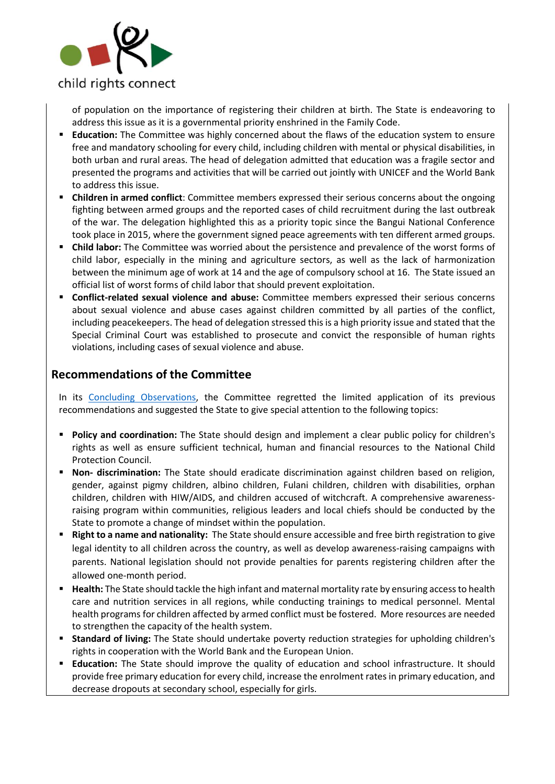

of population on the importance of registering their children at birth. The State is endeavoring to address this issue as it is a governmental priority enshrined in the Family Code.

- **Education:** The Committee was highly concerned about the flaws of the education system to ensure free and mandatory schooling for every child, including children with mental or physical disabilities, in both urban and rural areas. The head of delegation admitted that education was a fragile sector and presented the programs and activities that will be carried out jointly with UNICEF and the World Bank to address this issue.
- **Children in armed conflict**: Committee members expressed their serious concerns about the ongoing fighting between armed groups and the reported cases of child recruitment during the last outbreak of the war. The delegation highlighted this as a priority topic since the Bangui National Conference took place in 2015, where the government signed peace agreements with ten different armed groups.
- **Child labor:** The Committee was worried about the persistence and prevalence of the worst forms of child labor, especially in the mining and agriculture sectors, as well as the lack of harmonization between the minimum age of work at 14 and the age of compulsory school at 16. The State issued an official list of worst forms of child labor that should prevent exploitation.
- **Conflict-related sexual violence and abuse:** Committee members expressed their serious concerns about sexual violence and abuse cases against children committed by all parties of the conflict, including peacekeepers. The head of delegation stressed this is a high priority issue and stated that the Special Criminal Court was established to prosecute and convict the responsible of human rights violations, including cases of sexual violence and abuse.

## **Recommendations of the Committee**

In its [Concluding Observations,](http://tbinternet.ohchr.org/_layouts/treatybodyexternal/Download.aspx?symbolno=CRC%2fC%2fCAF%2fCO%2f2&Lang=en) the Committee regretted the limited application of its previous recommendations and suggested the State to give special attention to the following topics:

- **Policy and coordination:** The State should design and implement a clear public policy for children's rights as well as ensure sufficient technical, human and financial resources to the National Child Protection Council.
- **Non- discrimination:** The State should eradicate discrimination against children based on religion, gender, against pigmy children, albino children, Fulani children, children with disabilities, orphan children, children with HIW/AIDS, and children accused of witchcraft. A comprehensive awarenessraising program within communities, religious leaders and local chiefs should be conducted by the State to promote a change of mindset within the population.
- **Right to a name and nationality:** The State should ensure accessible and free birth registration to give legal identity to all children across the country, as well as develop awareness-raising campaigns with parents. National legislation should not provide penalties for parents registering children after the allowed one-month period.
- **Health:** The State should tackle the high infant and maternal mortality rate by ensuring access to health care and nutrition services in all regions, while conducting trainings to medical personnel. Mental health programs for children affected by armed conflict must be fostered. More resources are needed to strengthen the capacity of the health system.
- **Standard of living:** The State should undertake poverty reduction strategies for upholding children's rights in cooperation with the World Bank and the European Union.
- **Education:** The State should improve the quality of education and school infrastructure. It should provide free primary education for every child, increase the enrolment rates in primary education, and decrease dropouts at secondary school, especially for girls.